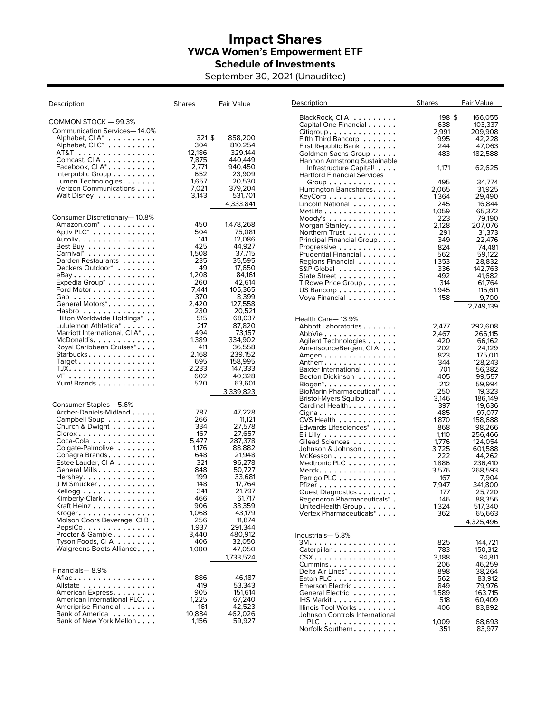## **Impact Shares YWCA Women's Empowerment ETF Schedule of Investments**

September 30, 2021 (Unaudited)

| Description                                                                                                                                                                                                                                                                                                                                                                                                                                                                                                              | <b>Shares</b>                                                                                                                                                              | Fair Value                                                                                                                                                                                                                                              |
|--------------------------------------------------------------------------------------------------------------------------------------------------------------------------------------------------------------------------------------------------------------------------------------------------------------------------------------------------------------------------------------------------------------------------------------------------------------------------------------------------------------------------|----------------------------------------------------------------------------------------------------------------------------------------------------------------------------|---------------------------------------------------------------------------------------------------------------------------------------------------------------------------------------------------------------------------------------------------------|
| COMMON STOCK — 99.3%                                                                                                                                                                                                                                                                                                                                                                                                                                                                                                     |                                                                                                                                                                            |                                                                                                                                                                                                                                                         |
| Communication Services-14.0%<br>Alphabet, Cl A*<br>.<br>Alphabet, CI C*<br>.<br>AT&T<br>Comcast, $CIA$<br>Facebook, Cl $A^*$<br>Interpublic Group $\ldots \ldots \ldots$                                                                                                                                                                                                                                                                                                                                                 | 321 \$<br>304<br>12,186<br>7,875<br>2,771<br>652                                                                                                                           | 858,200<br>810,254<br>329,144<br>440,449<br>940,450<br>23,909                                                                                                                                                                                           |
| Lumen Technologies.<br>Verizon Communications<br>Walt Disney                                                                                                                                                                                                                                                                                                                                                                                                                                                             | 1,657<br>7,021<br>3,143                                                                                                                                                    | 20,530<br>379,204<br>531,701<br>4,333,841                                                                                                                                                                                                               |
| Consumer Discretionary-10.8%<br>$\mathsf{A}$ mazon.com $^*$<br>Aptiv PLC <sup>*</sup><br>Autoliv.<br>Best Buy<br>Carnival <sup>*</sup><br>Darden Restaurants<br>Deckers Outdoor*<br>eBay<br>Expedia Group <sup>*</sup><br>Ford Motor<br>Gap<br>General Motors*.<br>Hasbro<br>Hilton Worldwide Holdings*<br>Lululemon Athletica*<br>Marriott International, Cl A <sup>*</sup><br>McDonald's.<br>Royal Caribbean Cruises*<br>Starbucks<br>$Target \ldots \ldots \ldots \ldots \ldots$<br>TJX.<br>VF<br>Yum! Brands         | 450<br>504<br>141<br>425<br>1,508<br>235<br>49<br>1,208<br>260<br>7.441<br>370<br>2,420<br>230<br>515<br>217<br>494<br>1,389<br>411<br>2,168<br>695<br>2,233<br>602<br>520 | 1,478,268<br>75,081<br>12,086<br>44,927<br>37,715<br>35,595<br>17,650<br>84,161<br>42,614<br>105,365<br>8,399<br>127,558<br>20.521<br>68,037<br>87,820<br>73,157<br>334,902<br>36,558<br>239.152<br>158,995<br>147,333<br>40,328<br>63,601<br>3,339,823 |
| Consumer Staples- 5.6%<br>Archer-Daniels-Midland<br>Campbell Soup $\ldots \ldots \ldots$<br>Church & Dwight $\ldots \ldots \ldots$<br>$C$ lorox $\ldots \ldots \ldots \ldots \ldots$<br>Coca-Cola<br>Colgate-Palmolive<br>Conagra Brands.<br>Estee Lauder, CI A<br>General Mills.<br>Hershey.<br>J M Smucker.<br>Kellogg $\dots\dots\dots\dots\dots\dots$<br>Kimberly-Clark.<br>Kraft Heinz<br>Kroger.<br>Molson Coors Beverage, CIB.<br>$PepsiCo$<br>Procter & Gamble<br>Tyson Foods, $CIA$<br>Walgreens Boots Alliance | 787<br>266<br>334<br>167<br>5,477<br>1,176<br>648<br>321<br>848<br>199<br>148<br>341<br>466<br>906<br>1.068<br>256<br>1,937<br>3,440<br>406<br>1,000                       | 47,228<br>11,121<br>27,578<br>27,657<br>287,378<br>88,882<br>21,948<br>96,278<br>50,727<br>33,681<br>17,764<br>21,797<br>61,717<br>33,359<br>43,179<br>11,874<br>291,344<br>480,912<br>32,050<br>47,050<br>1,733,524                                    |
| Financials— 8.9%<br>Aflac<br>Allstate<br>American Express.<br>American International PLC. $\dots$<br>Ameriprise Financial<br>Bank of America<br>Bank of New York Mellon                                                                                                                                                                                                                                                                                                                                                  | 886<br>419<br>905<br>1,225<br>161<br>10,884<br>1,156                                                                                                                       | 46,187<br>53,343<br>151,614<br>67,240<br>42,523<br>462,026<br>59,927                                                                                                                                                                                    |

| Description                                                                                                                                  | <b>Shares</b> | Fair Value |
|----------------------------------------------------------------------------------------------------------------------------------------------|---------------|------------|
|                                                                                                                                              |               |            |
| BlackRock, CIA                                                                                                                               | 198\$         | 166,055    |
| Capital One Financial                                                                                                                        | 638           | 103,337    |
| $Citigroup. \ldots \ldots \ldots$                                                                                                            | 2,991         | 209,908    |
| Fifth Third Bancorp $\ldots$ .                                                                                                               | 995           | 42,228     |
| First Republic Bank                                                                                                                          | 244           | 47,063     |
| Goldman Sachs Group                                                                                                                          | 483           | 182,588    |
| Hannon Armstrong Sustainable                                                                                                                 |               |            |
| Infrastructure Capital#                                                                                                                      | 1,171         | 62,625     |
|                                                                                                                                              |               |            |
| <b>Hartford Financial Services</b>                                                                                                           |               | 34,774     |
| Group                                                                                                                                        | 495           |            |
| Huntington Bancshares                                                                                                                        | 2,065         | 31,925     |
| $KeyCorp \ldots \ldots \ldots$                                                                                                               | 1,364         | 29,490     |
| Lincoln National                                                                                                                             | 245           | 16,844     |
| $\mathsf{Met}$ Life $\mathsf{.}\ \mathsf{.}\ \mathsf{.}\ \mathsf{.}\ \mathsf{.}\ \mathsf{.}\ \mathsf{.}\ \mathsf{.}\ \mathsf{.}\ \mathsf{.}$ | 1,059         | 65,372     |
| $Mody's  \ldots \ldots$                                                                                                                      | 223           | 79,190     |
| Morgan Stanley.                                                                                                                              | 2,128         | 207,076    |
| Northern Trust                                                                                                                               | 291           | 31,373     |
| Principal Financial Group                                                                                                                    | 349           | 22,476     |
| Progressive                                                                                                                                  | 824           | 74,481     |
| Prudential Financial                                                                                                                         | 562           | 59,122     |
| Regions Financial $\ldots \ldots$                                                                                                            | 1,353         | 28,832     |
| S&P Global                                                                                                                                   | 336           | 142,763    |
| State Street                                                                                                                                 | 492           | 41,682     |
| T Rowe Price Group                                                                                                                           | 314           | 61,764     |
| US Bancorp                                                                                                                                   | 1.945         | 115,611    |
| Voya Financial                                                                                                                               | 158           | 9,700      |
|                                                                                                                                              |               |            |
|                                                                                                                                              |               | 2,749,139  |
| Health Care-13.9%                                                                                                                            |               |            |
| Abbott Laboratories                                                                                                                          | 2,477         | 292,608    |
| AbbVie                                                                                                                                       | 2,467         | 266,115    |
| Agilent Technologies                                                                                                                         | 420           | 66,162     |
| AmerisourceBergen, CI A                                                                                                                      | 202           | 24,129     |
|                                                                                                                                              | 823           | 175,011    |
| Amgen<br>Anthem.                                                                                                                             | 344           | 128,243    |
| Baxter International                                                                                                                         | 701           | 56,382     |
|                                                                                                                                              | 405           |            |
| Becton Dickinson                                                                                                                             | 212           | 99,557     |
| Biogen $*$                                                                                                                                   |               | 59,994     |
| <b>BioMarin Pharmaceutical*</b>                                                                                                              | 250           | 19,323     |
| Bristol-Myers Squibb                                                                                                                         | 3,146         | 186,149    |
| Cardinal Health.                                                                                                                             | 397           | 19,636     |
| Cigna                                                                                                                                        | 485           | 97,077     |
| $CVS$ Health $\dots \dots$                                                                                                                   | 1,870         | 158,688    |
| Edwards Lifesciences*<br>.                                                                                                                   | 868           | 98,266     |
| Eli Lilly                                                                                                                                    | 1,110         | 256,466    |
| Gilead Sciences                                                                                                                              | 1,776         | 124,054    |
| Johnson & Johnson                                                                                                                            | 3,725         | 601,588    |
| McKesson                                                                                                                                     | 222           | 44,262     |
| Medtronic PLC                                                                                                                                | 1,886         | 236,410    |
| Merck.                                                                                                                                       | 3,576         | 268,593    |
| Perrigo PLC $\dots \dots$                                                                                                                    | 167           | 7,904      |
| Pfizer $\dots\dots\dots\dots$                                                                                                                | 7,947         | 341,800    |
| Quest Diagnostics                                                                                                                            | 177           | 25,720     |
| Regeneron Pharmaceuticals*.                                                                                                                  | 146           | 88,356     |
| UnitedHealth Group.                                                                                                                          | 1,324         | 517,340    |
| Vertex Pharmaceuticals*                                                                                                                      | 362           | 65,663     |
|                                                                                                                                              |               | 4,325,496  |
|                                                                                                                                              |               |            |
| Industrials- 5.8%                                                                                                                            |               |            |
| 3M.                                                                                                                                          | 825           | 144,721    |
| Caterpillar                                                                                                                                  | 783           | 150,312    |
| CSX                                                                                                                                          | 3,188         | 94,811     |
| Cummins.                                                                                                                                     | 206           | 46,259     |
| Delta Air Lines*                                                                                                                             | 898           | 38,264     |
| Eaton PLC                                                                                                                                    | 562           | 83,912     |
| Emerson Electric                                                                                                                             | 849           | 79,976     |
| General Electric                                                                                                                             | 1,589         | 163,715    |
| IHS Markit                                                                                                                                   | 518           | 60,409     |
| Illinois Tool Works                                                                                                                          | 406           | 83.892     |
| Johnson Controls International                                                                                                               |               |            |
| PLC                                                                                                                                          | 1,009         | 68,693     |
| Norfolk Southern.                                                                                                                            | 351           | 83,977     |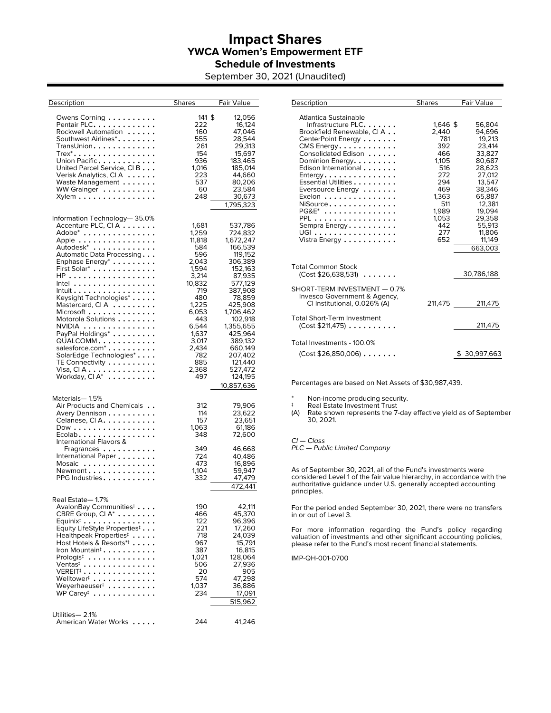# **Impact Shares YWCA Women's Empowerment ETF Schedule of Investments**

September 30, 2021 (Unaudited)

| Description                                                | <b>Shares</b> | Fair Value |
|------------------------------------------------------------|---------------|------------|
|                                                            |               |            |
| Owens Corning                                              | 141 \$        | 12,056     |
| Pentair PLC.                                               | 222           | 16,124     |
| Rockwell Automation                                        | 160           | 47,046     |
| Southwest Airlines $^*$ $\ldots \ldots \ldots$             | 555           | 28,544     |
| TransUnion.                                                | 261           | 29,313     |
| $T$ rex $*$                                                | 154           | 15,697     |
| Union Pacific                                              | 936           | 183,465    |
| United Parcel Service, CI B                                | 1,016         | 185,014    |
| Verisk Analytics, CIA                                      | 223           | 44,660     |
| Waste Management                                           | 537           | 80,206     |
| WW Grainger                                                | 60<br>248     | 23,584     |
| Xylem                                                      |               | 30,673     |
|                                                            |               | 1,795,323  |
| Information Technology-35.0%                               |               |            |
| Accenture PLC, CI A                                        | 1.681         | 537,786    |
| Adobe <sup>*</sup>                                         | 1,259         | 724,832    |
| Apple                                                      | 11,818        | 1,672,247  |
| Autodesk <sup>*</sup>                                      | 584           | 166,539    |
| Automatic Data Processing                                  | 596           | 119,152    |
| Enphase Energy <sup>*</sup>                                | 2,043         | 306,389    |
| First Solar*                                               | 1,594         | 152,163    |
| HP                                                         | 3,214         | 87,935     |
| Intel                                                      | 10,832        | 577,129    |
| Intuit                                                     | 719           | 387,908    |
| Keysight Technologies*                                     | 480           | 78,859     |
| Mastercard, CIA                                            | 1,225         | 425,908    |
| Microsoft                                                  | 6,053         | 1,706,462  |
| Motorola Solutions                                         | 443           | 102,918    |
| $NVIDIA$                                                   | 6,544         | 1,355,655  |
| PayPal Holdings*                                           | 1,637         | 425,964    |
| $QUALCOMM$                                                 | 3,017         | 389,132    |
| salesforce.com <sup>*</sup>                                | 2,434         | 660,149    |
| SolarEdge Technologies*                                    | 782           | 207,402    |
| TE Connectivity                                            | 885           | 121,440    |
| Visa, CIA                                                  | 2,368         | 527,472    |
| Workday, $CI A^*$                                          | 497           | 124,195    |
|                                                            |               | 10,857,636 |
|                                                            |               |            |
| Materials-1.5%                                             |               |            |
| Air Products and Chemicals                                 | 312           | 79,906     |
| Avery Dennison                                             | 114           | 23,622     |
| Celanese, CI $A. \ldots \ldots \ldots$                     | 157           | 23,651     |
| Dow                                                        | 1,063         | 61,186     |
| Ecolab                                                     | 348           | 72,600     |
| International Flavors &                                    |               |            |
| Fragrances                                                 | 349           | 46,668     |
| International Paper                                        | 724           | 40,486     |
| Mosaic                                                     | 473           | 16,896     |
| Newmont                                                    | 1,104         | 59,947     |
| PPG Industries.                                            | 332           | 47,479     |
|                                                            |               | 472,441    |
| Real Estate— 1.7%                                          |               |            |
| AvalonBay Communities <sup>‡</sup>                         | 190           | 42,111     |
| CBRE Group, CI $A^*$                                       | 466           | 45,370     |
| $Equinix^{\ddagger} \ldots \ldots \ldots \ldots \ldots$    | 122           | 96,396     |
| Equity LifeStyle Properties <sup>‡</sup>                   | 221           | 17,260     |
| Healthpeak Properties <sup><math>\ddagger</math></sup>     | 718           | 24,039     |
| Host Hotels & Resorts $\stackrel{*}{\cdot}\cdot\cdot\cdot$ | 967           | 15,791     |
| Iron Mountain <sup>#</sup>                                 | 387           | 16,815     |
| Prologis <sup>‡</sup>                                      | 1,021         | 128,064    |
| $\mathsf{Ventas}$ : $\dots\dots\dots\dots\dots$            | 506           | 27,936     |
| $\mathsf{VEREIT}^{\ddagger}$                               | 20            | 905        |
| Welltower <sup>#</sup>                                     | 574           | 47,298     |
| Weyerhaeuser <sup>#</sup>                                  | 1,037         | 36,886     |
| WP Carey‡<br>.                                             | 234           | 17,091     |
|                                                            |               | 515,962    |
|                                                            |               |            |
| Utilities-2.1%                                             |               |            |
| American Water Works                                       | 244           | 41,246     |

| Description                                                                                                                                                                                                                                                                                                                                  | <b>Shares</b>                                                                                                                        | Fair Value                                                                                                                                                                        |
|----------------------------------------------------------------------------------------------------------------------------------------------------------------------------------------------------------------------------------------------------------------------------------------------------------------------------------------------|--------------------------------------------------------------------------------------------------------------------------------------|-----------------------------------------------------------------------------------------------------------------------------------------------------------------------------------|
| Atlantica Sustainable<br>Infrastructure PLC.<br>Brookfield Renewable, CI A<br>CenterPoint Energy<br>CMS Energy.<br>Consolidated Edison<br>Dominion Energy.<br>Edison International<br>$Enterqy$<br>Essential Utilities<br>Eversource Energy $\dots \dots$<br>Exelon<br>NiSource<br>$PG\&E^*$<br>PPL<br>Sempra Energy<br>UGI<br>Vistra Energy | $1.646$ \$<br>2,440<br>781<br>392<br>466<br>1.105<br>516<br>272<br>294<br>469<br>1.363<br>511<br>1,989<br>1.053<br>442<br>277<br>652 | 56,804<br>94,696<br>19,213<br>23,414<br>33.827<br>80,687<br>28,623<br>27.012<br>13.547<br>38.346<br>65.887<br>12,381<br>19,094<br>29.358<br>55,913<br>11,806<br>11,149<br>663,003 |
| <b>Total Common Stock</b><br>$(Cost $26,638,531)$                                                                                                                                                                                                                                                                                            |                                                                                                                                      | 30,786,188                                                                                                                                                                        |
| SHORT-TERM INVESTMENT - 0.7%<br>Invesco Government & Agency,<br>CI Institutional, 0.026% (A)                                                                                                                                                                                                                                                 | 211,475                                                                                                                              | 211,475                                                                                                                                                                           |
| <b>Total Short-Term Investment</b><br>(Cost \$211,475)                                                                                                                                                                                                                                                                                       |                                                                                                                                      | 211,475                                                                                                                                                                           |
| Total Investments - 100.0%<br>$(Cost $26,850,006) \ldots \ldots$                                                                                                                                                                                                                                                                             |                                                                                                                                      | \$30,997,663                                                                                                                                                                      |

Percentages are based on Net Assets of \$30,987,439.

Non-income producing security.

‡ Real Estate Investment Trust (A) Rate shown represents the 7-day effective yield as of September 30, 2021.

#### $Cl - Class$

PLC — Public Limited Company

As of September 30, 2021, all of the Fund's investments were considered Level 1 of the fair value hierarchy, in accordance with the authoritative guidance under U.S. generally accepted accounting principles.

For the period ended September 30, 2021, there were no transfers in or out of Level 3.

 For more information regarding the Fund's policy regarding valuation of investments and other significant accounting policies, please refer to the Fund's most recent financial statements.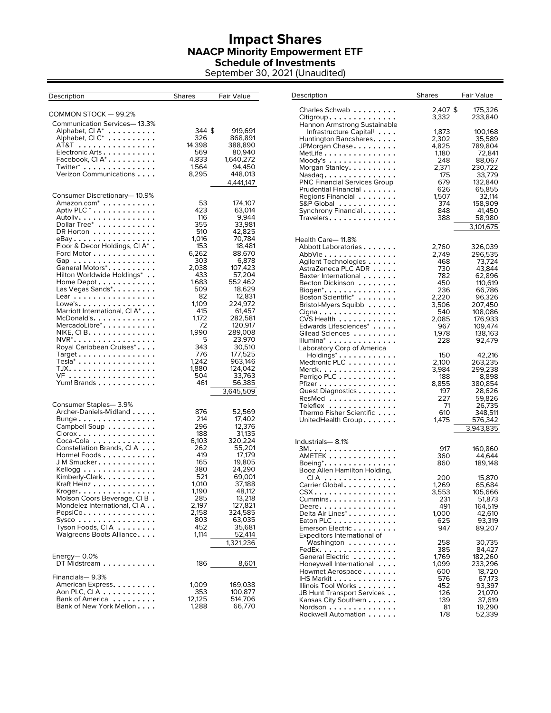## **Impact Shares NAACP Minority Empowerment ETF Schedule of Investments**

September 30, 2021 (Unaudited)

| Description                                                                                                                                                                                                                                                                                                                                                                                                                                                                                                                                            | Shares                                                                                                                                                                                          | Fair Value                                                                                                                                                                                                                                                                            |
|--------------------------------------------------------------------------------------------------------------------------------------------------------------------------------------------------------------------------------------------------------------------------------------------------------------------------------------------------------------------------------------------------------------------------------------------------------------------------------------------------------------------------------------------------------|-------------------------------------------------------------------------------------------------------------------------------------------------------------------------------------------------|---------------------------------------------------------------------------------------------------------------------------------------------------------------------------------------------------------------------------------------------------------------------------------------|
| COMMON STOCK - 99.2%                                                                                                                                                                                                                                                                                                                                                                                                                                                                                                                                   |                                                                                                                                                                                                 |                                                                                                                                                                                                                                                                                       |
| Communication Services-13.3%<br>Alphabet, CI A <sup>*</sup><br>Alphabet, CI C*<br>.<br>AT&T<br>Electronic Arts<br>Facebook, Cl $A^*$<br>Twitter* $\dots \dots \dots \dots \dots$<br>Verizon Communications                                                                                                                                                                                                                                                                                                                                             | 344 \$<br>326<br>14,398<br>569<br>4,833<br>1,564<br>8,295                                                                                                                                       | 919,691<br>868,891<br>388,890<br>80,940<br>1,640,272<br>94,450<br>448,013<br>4,441,147                                                                                                                                                                                                |
| Consumer Discretionary-10.9%<br>Amazon.com <sup>*</sup><br>Aptiv PLC <sup>*</sup><br>Autoliv.<br>Dollar Tree*<br>DR Horton<br>$e$ Bay<br>Floor & Decor Holdings, Cl A*<br>Ford Motor<br>Gap<br>General Motors*.<br>Hilton Worldwide Holdings*<br>Home Depot $\dots\dots\dots$<br>Las Vegas Sands*.<br>Lear<br>$Lowe's \ldots \ldots \ldots$<br>Marriott International, CI A*<br>McDonald's.<br>MercadoLibre*.<br>NIKE, CI B.<br>$NVR^*$<br>Royal Caribbean Cruises*.<br>$Target \ldots \ldots \ldots \ldots$<br>$Tesla^*$<br>TJX.<br>VF<br>Yum! Brands | 53<br>423<br>116<br>355<br>510<br>1,016<br>153<br>6,262<br>303<br>2,038<br>433<br>1,683<br>509<br>82<br>1,109<br>415<br>1,172<br>72<br>1,990<br>5<br>343<br>776<br>1,242<br>1,880<br>504<br>461 | 174,107<br>63,014<br>9,944<br>33,981<br>42,825<br>70,784<br>18,481<br>88,670<br>6,878<br>107,423<br>57,204<br>552,462<br>18,629<br>12,831<br>224,972<br>61,457<br>282,581<br>120,917<br>289,008<br>23,970<br>30,510<br>177,525<br>963,146<br>124,042<br>33,763<br>56,385<br>3,645,509 |
| Consumer Staples-3.9%<br>Archer-Daniels-Midland<br>$B$ unge<br>Campbell Soup $\ldots \ldots$<br>$C$ lorox $\ldots \ldots \ldots \ldots$<br>Coca-Cola<br>Constellation Brands, CI A<br>Hormel Foods<br>J M Smucker<br>Kellogg $\dots\dots\dots\dots$<br>Kimberly-Clark.<br>Kraft Heinz<br>$K$ roger $\dots\dots\dots\dots\dots$<br>Molson Coors Beverage, CIB.<br>Mondelez International, CI A<br>PepsiCo<br>Sysco<br>Tyson Foods, CIA $\ldots \ldots$<br>Walgreens Boots Alliance<br>Energy— 0.0%                                                      | 876<br>214<br>296<br>188<br>6,103<br>262<br>419<br>165<br>380<br>521<br>1,010<br>1,190<br>285<br>2,197<br>2,158<br>803<br>452<br>1,114                                                          | 52,569<br>17,402<br>12,376<br>31,135<br>320,224<br>55,201<br>17,179<br>19,805<br>24,290<br>69,001<br>37,188<br>48,112<br>13,218<br>127,821<br>324,585<br>63,035<br>35,681<br>52,414<br>1,321,236                                                                                      |
| DT Midstream                                                                                                                                                                                                                                                                                                                                                                                                                                                                                                                                           | 186                                                                                                                                                                                             | 8,601                                                                                                                                                                                                                                                                                 |
| Financials-9.3%<br>American Express.<br>Aon PLC, CIA<br>Bank of America<br>Bank of New York Mellon                                                                                                                                                                                                                                                                                                                                                                                                                                                     | 1,009<br>353<br>12,125<br>1,288                                                                                                                                                                 | 169,038<br>100,877<br>514,706<br>66,770                                                                                                                                                                                                                                               |

| Description                                                                    | <b>Shares</b>  | Fair Value           |
|--------------------------------------------------------------------------------|----------------|----------------------|
| Charles Schwab                                                                 | 2,407 \$       | 175,326              |
| Citigroup.                                                                     | 3,332          | 233,840              |
| Hannon Armstrong Sustainable                                                   |                |                      |
| Infrastructure Capital# $\,\ldots\,$                                           | 1,873          | 100,168              |
| Huntington Bancshares                                                          | 2,302<br>4,825 | 35,589               |
| JPMorgan Chase........<br>$MetLife \dots \dots \dots \dots \dots \dots$        | 1,180          | 789,804<br>72,841    |
| $Mody's  \ldots \ldots$                                                        | 248            | 88,067               |
| Morgan Stanley.                                                                | 2,371          | 230,722              |
| Nasdaq                                                                         | 175            | 33,779               |
| <b>PNC Financial Services Group</b>                                            | 679            | 132,840              |
| Prudential Financial<br>Regions Financial                                      | 626<br>1,507   | 65,855<br>32,114     |
| S&P Global                                                                     | 374            | 158,909              |
| Synchrony Financial                                                            | 848            | 41,450               |
| Travelers $\ldots \ldots \ldots$                                               | 388            | 58,980               |
|                                                                                |                | 3,101,675            |
| Health Care-11.8%                                                              |                |                      |
| Abbott Laboratories                                                            | 2,760          | 326,039              |
| AbbVie                                                                         | 2,749          | 296,535              |
| Agilent Technologies                                                           | 468            | 73,724               |
| AstraZeneca PLC ADR                                                            | 730            | 43,844               |
| Baxter International<br>Becton Dickinson                                       | 782<br>450     | 62,896<br>110,619    |
| Biogen*.                                                                       | 236            | 66,786               |
| Boston Scientific*                                                             | 2,220          | 96,326               |
| Bristol-Myers Squibb                                                           | 3,506          | 207,450              |
| $C$ igna $\ldots \ldots \ldots \ldots \ldots$                                  | 540            | 108,086              |
| CVS Health                                                                     | 2,085          | 176,933              |
| Edwards Lifesciences*<br>.<br>Gilead Sciences                                  | 967<br>1,978   | 109,474<br>138,163   |
| Illumina*                                                                      | 228            | 92,479               |
| Laboratory Corp of America                                                     |                |                      |
| Holdings*<br>Medtronic PLC                                                     | 150            | 42,216               |
|                                                                                | 2,100          | 263,235              |
| Merck.                                                                         | 3,984          | 299,238              |
| Perrigo PLC<br>$Pfizer \n\t\ldots \n\t\ldots \n\t\ldots \n\t\ldots \n\t\ldots$ | 188<br>8,855   | 8,898<br>380,854     |
| Quest Diagnostics                                                              | 197            | 28,626               |
| ResMed                                                                         | 227            | 59,826               |
| Teleflex                                                                       | 71             | 26,735               |
| Thermo Fisher Scientific                                                       | 610            | 348,511              |
| UnitedHealth Group                                                             | 1,475          | 576,342<br>3,943,835 |
|                                                                                |                |                      |
| Industrials— 8.1%                                                              |                |                      |
| 3M.<br>$\,$ AMETEK $\,.\,.\,.\,.\,.\,.\,.\,.\,.\,.\,.\,.\,$                    | 917<br>360     | 160,860<br>44,644    |
| Boeing*.                                                                       | 860            | 189,148              |
| Booz Allen Hamilton Holding,                                                   |                |                      |
| CIA                                                                            | 200            | 15,870               |
| Carrier Global.                                                                | 1,269          | 65,684               |
| $CSX$                                                                          | 3,553          | 105,666              |
| $Cummins. \ldots \ldots$<br>Deere                                              | 231<br>491     | 51,873<br>164,519    |
| Delta Air Lines*                                                               | 1,000          | 42,610               |
| Eaton PLC                                                                      | 625            | 93,319               |
| Emerson Electric                                                               | 947            | 89,207               |
| Expeditors International of                                                    |                |                      |
| Washington $\ldots \ldots \ldots$                                              | 258            | 30,735               |
| $\mathsf{FedEx.}\dots\dots\dots\dots\dots\,.$<br>General Electric              | 385<br>1,769   | 84,427<br>182,260    |
| Honeywell International $\ldots$ .                                             | 1,099          | 233,296              |
| Howmet Aerospace                                                               | 600            | 18,720               |
| IHS Markit                                                                     | 576            | 67,173               |
| Illinois Tool Works                                                            | 452            | 93,397               |
| JB Hunt Transport Services<br>Kansas City Southern                             | 126<br>139     | 21,070<br>37,619     |
| Nordson                                                                        | 81             | 19,290               |
| Rockwell Automation                                                            | 178            | 52,339               |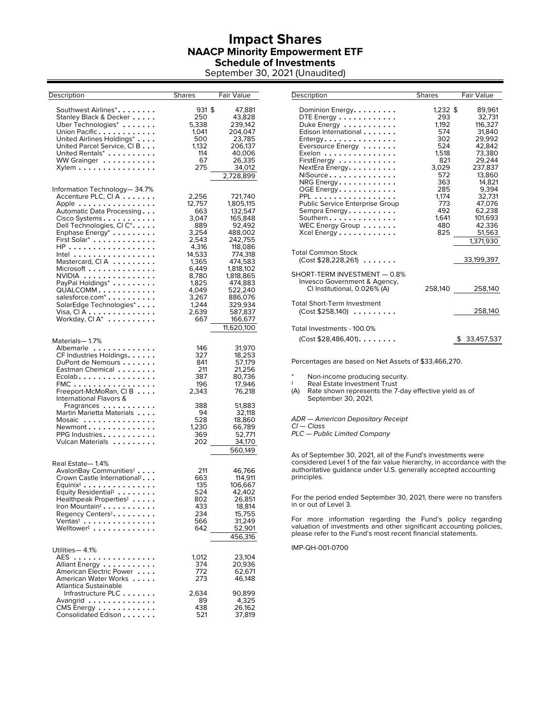#### **Impact Shares NAACP Minority Empowerment ETF Schedule of Investments**

September 30, 2021 (Unaudited)

| Description                                                                                                                                                                                                                                                                                                                                                                                                                                                   | Shares                                                                                                                                                     | Fair Value                                                                                                                                                                                                            |
|---------------------------------------------------------------------------------------------------------------------------------------------------------------------------------------------------------------------------------------------------------------------------------------------------------------------------------------------------------------------------------------------------------------------------------------------------------------|------------------------------------------------------------------------------------------------------------------------------------------------------------|-----------------------------------------------------------------------------------------------------------------------------------------------------------------------------------------------------------------------|
| Southwest Airlines*.<br>Stanley Black & Decker<br>Uber Technologies*<br>Union Pacific<br>United Airlines Holdings*<br>United Parcel Service, CIB<br>United Rentals*<br>WW Grainger<br>Xylem                                                                                                                                                                                                                                                                   | 931 \$<br>250<br>5.338<br>1,041<br>500<br>1,132<br>114<br>67<br>275                                                                                        | 47,881<br>43,828<br>239,142<br>204,047<br>23,785<br>206,137<br>40,006<br>26,335<br>34,012<br>2,728,899                                                                                                                |
| Information Technology— 34.7%<br>Accenture PLC, CIA<br>Apple<br>Automatic Data Processing<br>Cisco Systems<br>Dell Technologies, Cl C <sup>*</sup> .<br>Enphase Energy <sup>*</sup><br>First Solar*<br>HP<br>Intel<br>Mastercard, CIA<br>Microsoft<br>NVIDIA<br>PayPal Holdings <sup>*</sup><br>QUALCOMM<br>salesforce.com <sup>*</sup><br>SolarEdge Technologies*<br>Visa, CI A ..............<br>Workday, Cl $\mathsf{A}^{*}\; \ldots \ldots \ldots \ldots$ | 2,256<br>12,757<br>663<br>3,047<br>889<br>3,254<br>2,543<br>4,316<br>14,533<br>1,365<br>6,449<br>8,780<br>1,825<br>4,049<br>3,267<br>1,244<br>2,639<br>667 | 721,740<br>1,805,115<br>132,547<br>165,848<br>92,492<br>488,002<br>242,755<br>118,086<br>774,318<br>474,583<br>1,818,102<br>1,818,865<br>474,883<br>522,240<br>886,076<br>329,934<br>587,837<br>166,677<br>11,620,100 |
| Materials-1.7%<br>Albemarle<br>CF Industries Holdings.<br>DuPont de Nemours<br>Eastman Chemical<br>Ecolab.<br>$FMC$<br>Freeport-McMoRan, CIB<br>International Flavors &<br>Fragrances<br>Martin Marietta Materials<br>Mosaic<br>Newmont<br>PPG Industries.<br>Vulcan Materials                                                                                                                                                                                | 146<br>327<br>841<br>211<br>387<br>196<br>2,343<br>388<br>94<br>528<br>1,230<br>369<br>202                                                                 | 31,970<br>18,253<br>57,179<br>21,256<br>80,736<br>17,946<br>76,218<br>51,883<br>32,118<br>18,860<br>66,789<br>52,771<br>34,170<br>560,149                                                                             |
| Real Estate-1.4%<br>AvalonBay Communities <sup>‡</sup><br>Crown Castle International <sup>#</sup> .<br>$Equinix^{\ddagger}$<br>Equity Residential <sup>#</sup><br>Healthpeak Properties <sup>‡</sup><br>Iron Mountain <sup>‡</sup><br>Regency Centers <sup>‡</sup> .<br>Ventas <sup>#</sup><br>Welltower <sup>†</sup>                                                                                                                                         | 211<br>663<br>135<br>524<br>802<br>433<br>234<br>566<br>642                                                                                                | 46,766<br>114,911<br>106,667<br>42,402<br>26,851<br>18,814<br>15,755<br>31,249<br>52,901<br>456,316                                                                                                                   |
| Utilities-4.1%<br>$AES$<br>Alliant Energy<br>American Electric Power<br>American Water Works<br>Atlantica Sustainable                                                                                                                                                                                                                                                                                                                                         | 1,012<br>374<br>772<br>273                                                                                                                                 | 23,104<br>20,936<br>62,671<br>46,148                                                                                                                                                                                  |
| Infrastructure PLC<br>Avangrid<br>CMS Energy $\dots \dots \dots \dots$<br>Consolidated Edison                                                                                                                                                                                                                                                                                                                                                                 | 2,634<br>89<br>438<br>521                                                                                                                                  | 90,899<br>4,325<br>26,162<br>37,819                                                                                                                                                                                   |

| Description                                                                                                                                                                                                                                                                                                                                                                                                                                       | <b>Shares</b>                                                                                                                               | <b>Fair Value</b>                                                                                                                                                                               |
|---------------------------------------------------------------------------------------------------------------------------------------------------------------------------------------------------------------------------------------------------------------------------------------------------------------------------------------------------------------------------------------------------------------------------------------------------|---------------------------------------------------------------------------------------------------------------------------------------------|-------------------------------------------------------------------------------------------------------------------------------------------------------------------------------------------------|
| Dominion Energy.<br>DTE Energy $\dots \dots \dots \dots$<br>Duke Energy<br>Edison International<br>$E$ ntergy. $\dots \dots \dots \dots$<br>Eversource Energy<br>Exelon $\dots\dots\dots\dots\dots$<br>FirstEnergy<br>NextEra Energy.<br>NiSource<br>NRG Energy.<br>OGE Energy.<br>$PPL \ldots$<br>.<br>Public Service Enterprise Group<br>Sempra Energy<br>Southern<br>WEC Energy Group $\ldots \ldots$<br>Xcel Energy $\dots \dots \dots \dots$ | $1.232$ \$<br>293<br>1.192<br>574<br>302<br>524<br>1.518<br>821<br>3,029<br>572<br>363<br>285<br>1.174<br>773<br>492<br>1.641<br>480<br>825 | 89,961<br>32.731<br>116,327<br>31.840<br>29.992<br>42,842<br>73,380<br>29.244<br>237.837<br>13,860<br>14.821<br>9.394<br>32,731<br>47.076<br>62,238<br>101,693<br>42,336<br>51,563<br>1,371,930 |
| <b>Total Common Stock</b><br>$(Cost $28,228,261) \ldots$                                                                                                                                                                                                                                                                                                                                                                                          |                                                                                                                                             | 33,199,397                                                                                                                                                                                      |
| SHORT-TERM INVESTMENT - 0.8%<br>Invesco Government & Agency,<br>CI Institutional, 0.026% (A)                                                                                                                                                                                                                                                                                                                                                      |                                                                                                                                             | 258,140 258,140                                                                                                                                                                                 |
| <b>Total Short-Term Investment</b><br>(Cost \$258,140)                                                                                                                                                                                                                                                                                                                                                                                            |                                                                                                                                             | 258,140                                                                                                                                                                                         |
| Total Investments - 100.0%<br>$(Cost $28,486,401)$                                                                                                                                                                                                                                                                                                                                                                                                |                                                                                                                                             | 33,457,537                                                                                                                                                                                      |

Percentages are based on Net Assets of \$33,466,270.

\* Non-income producing security.<br> **Example 15 Real Figure** Investment Trust

Real Estate Investment Trust

(A) Rate shown represents the 7-day effective yield as of September 30, 2021.

ADR — American Depositary Receipt

Cl — Class

PLC — Public Limited Company

As of September 30, 2021, all of the Fund's investments were considered Level 1 of the fair value hierarchy, in accordance with the authoritative guidance under U.S. generally accepted accounting principles.

For the period ended September 30, 2021, there were no transfers in or out of Level 3.

For more information regarding the Fund's policy regarding valuation of investments and other significant accounting policies, please refer to the Fund's most recent financial statements.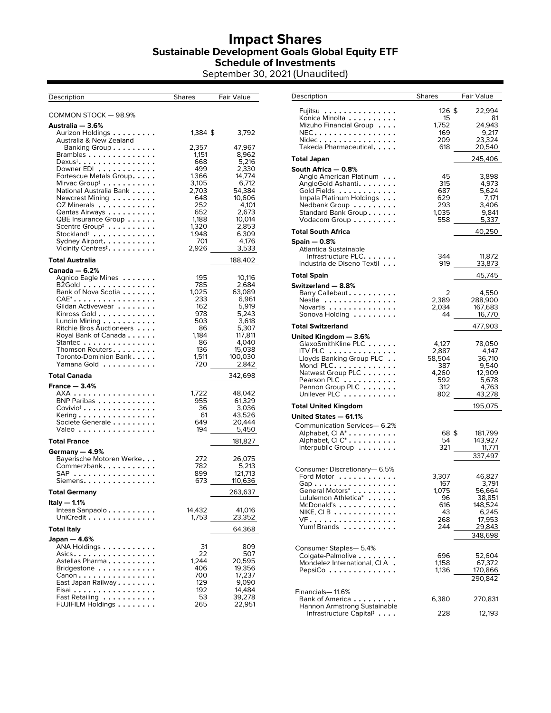## **Impact Shares Sustainable Development Goals Global Equity ETF Schedule of Investments**

September 30, 2021 (Unaudited)

| Description                                                              | <b>Shares</b> | Fair Value        |
|--------------------------------------------------------------------------|---------------|-------------------|
| COMMON STOCK - 98.9%                                                     |               |                   |
| Australia — 3.6%                                                         |               |                   |
| Aurizon Holdings                                                         | 1,384 \$      | 3,792             |
| Australia & New Zealand<br>Banking Group                                 | 2,357         | 47,967            |
| Brambles                                                                 | 1,151         | 8,962             |
| $D$ exus $^{\ddagger}$                                                   | 668           | 5,216             |
| Downer EDI<br>Fortescue Metals Group.                                    | 499<br>1,366  | 2,330<br>14,774   |
| Mirvac Group $^{\ddagger}$                                               | 3,105         | 6,712             |
| National Australia Bank<br>Newcrest Mining                               | 2,703<br>648  | 54,384<br>10,606  |
| OZ Minerals                                                              | 252           | 4,101             |
| Qantas Airways<br>QBE Insurance Group                                    | 652<br>1,188  | 2,673<br>10,014   |
| Scentre Group <sup>#</sup> $\dots \dots \dots$                           | 1,320         | 2,853             |
| $Stockland^{\ddagger}$                                                   | 1,948<br>701  | 6,309<br>4,176    |
| Sydney Airport. $\ldots \ldots \ldots$<br>Vicinity Centres $^{\ddagger}$ | 2,926         | 3,533             |
| <b>Total Australia</b>                                                   |               | 188,402           |
| Canada — 6.2%                                                            |               |                   |
| Agnico Eagle Mines<br>$B2Gold$                                           | 195<br>785    | 10,116<br>2.684   |
| Bank of Nova Scotia                                                      | 1,025         | 63,089            |
| $\mathsf{CAE}^* \ldots \ldots \ldots \ldots \ldots$                      | 233           | 6,961             |
| Gildan Activewear<br>Kinross Gold                                        | 162<br>978    | 5,919<br>5,243    |
| Lundin Mining                                                            | 503           | 3,618             |
| Ritchie Bros Auctioneers<br>Royal Bank of Canada                         | 86<br>1,184   | 5,307<br>117,811  |
| Stantec                                                                  | 86            | 4.040             |
| Thomson Reuters<br>Toronto-Dominion Bank                                 | 136<br>1,511  | 15,038<br>100,030 |
| Yamana Gold                                                              | 720           | 2,842             |
| <b>Total Canada</b>                                                      |               | 342,698           |
| France $-3.4%$                                                           |               | 48,042            |
| AXA<br>BNP Paribas                                                       | 1,722<br>955  | 61,329            |
| $Covivio‡ \ldots \ldots \ldots \ldots$                                   | 36            | 3,036             |
| Kering $\ldots\ldots\ldots\ldots\ldots$ .<br>Societe Generale            | 61<br>649     | 43,526<br>20,444  |
| Valeo                                                                    | 194           | 5,450             |
| <b>Total France</b>                                                      |               | 181,827           |
| Germany - 4.9%<br>Bayerische Motoren Werke                               | 272           | 26,075            |
| Commerzbank                                                              | 782           | 5,213             |
| $\mathsf{SAP}\ \dots\dots\dots\dots\dots\$                               | 899           | 121,713           |
| Siemens.                                                                 | 673           | 110,636           |
| <b>Total Germany</b><br>Italy — 1.1%                                     |               | 263,637           |
| Intesa Sanpaolo                                                          | 14,432        | 41,016            |
| UniCredit                                                                | 1,753         | 23,352            |
| <b>Total Italy</b>                                                       |               | 64,368            |
| Japan — 4.6%<br>ANA Holdings                                             | 31            | 809               |
| $\overline{\mathsf{Asics}} \ldots \ldots \ldots \ldots$                  | 22            | 507               |
| Astellas Pharma<br>Bridgestone $\ldots \ldots \ldots$                    | 1,244<br>406  | 20,595<br>19,356  |
| Canon                                                                    | 700           | 17,237            |
| East Japan Railway<br>Eisai                                              | 129<br>192    | 9,090<br>14,484   |
| Fast Retailing                                                           | 53            | 39,278            |
| FUJIFILM Holdings                                                        | 265           | 22,951            |

| Description                                                                                                                                                                                                       | <b>Shares</b>                                                 | Fair Value                                                                             |
|-------------------------------------------------------------------------------------------------------------------------------------------------------------------------------------------------------------------|---------------------------------------------------------------|----------------------------------------------------------------------------------------|
| Fujitsu<br>Konica Minolta<br>Mizuho Financial Group<br>NEC.<br>Nidec<br>Takeda Pharmaceutical.                                                                                                                    | 126 \$<br>15<br>1,752<br>169<br>209<br>618                    | 22,994<br>81<br>24,943<br>9,217<br>23,324<br>20,540                                    |
| Total Japan                                                                                                                                                                                                       |                                                               | 245,406                                                                                |
| South Africa — 0.8%<br>Anglo American Platinum<br>AngloGold Ashanti.<br>Gold Fields<br>Impala Platinum Holdings<br>Nedbank Group<br>Standard Bank Group<br>Vodacom Group                                          | 45<br>315<br>687<br>629<br>293<br>1.035<br>558                | 3,898<br>4,973<br>5,624<br>7,171<br>3,406<br>9,841<br>5,337                            |
| Total South Africa                                                                                                                                                                                                |                                                               | 40,250                                                                                 |
| Spain — 0.8%<br>Atlantica Sustainable<br>Infrastructure PLC.<br>Industria de Diseno Textil                                                                                                                        | 344<br>919                                                    | 11,872<br>33,873                                                                       |
| Total Spain                                                                                                                                                                                                       |                                                               | 45,745                                                                                 |
| Switzerland - 8.8%<br>Barry Callebaut<br>Nestle<br>Novartis<br>Sonova Holding                                                                                                                                     | 2<br>2,389<br>2,034<br>44                                     | 4,550<br>288,900<br>167,683<br>16,770                                                  |
| Total Switzerland                                                                                                                                                                                                 |                                                               | 477,903                                                                                |
| United Kingdom — 3.6%<br>GlaxoSmithKline PLC<br>ITV PLC $\,\ldots\ldots\ldots\ldots\,$<br>Lloyds Banking Group PLC $\ldots$<br>Mondi PLC.<br>Natwest Group PLC<br>Pearson PLC<br>Pennon Group PLC<br>Unilever PLC | 4,127<br>2,887<br>58,504<br>387<br>4,260<br>592<br>312<br>802 | 78,050<br>4,147<br>36,710<br>9,540<br>12,909<br>5,678<br>4,763<br>43,278               |
| Total United Kingdom                                                                                                                                                                                              |                                                               | 195,075                                                                                |
| United States - 61.1%<br>Communication Services-6.2%<br>Alphabet, CI A <sup>*</sup><br>Alphabet, CI C <sup>*</sup><br>Interpublic Group                                                                           | 68\$<br>54<br>321                                             | 181,799<br>143,927<br>11,771<br>337,497                                                |
| Consumer Discretionary-6.5%<br>Ford Motor<br>$\mathsf{Gap}\ldots\ldots\ldots\ldots\ldots\ldots$<br>General Motors*<br>Lululemon Athletica*<br>.<br>McDonald's<br>NIKE, CI B<br>VF.<br>Yum! Brands                 | 3,307<br>167<br>1,075<br>96<br>616<br>43<br>268<br>244        | 46,827<br>3,791<br>56,664<br>38,851<br>148,524<br>6,245<br>17,953<br>29,843<br>348,698 |
| Consumer Staples- 5.4%<br>Colgate-Palmolive<br>Mondelez International, CIA.<br>$PepsiCo \ldots \ldots$                                                                                                            | 696<br>1,158<br>1,136                                         | 52,604<br>67,372<br>170,866<br>290,842                                                 |
| Financials- 11.6%<br>Bank of America<br>Hannon Armstrong Sustainable<br>Infrastructure Capital $^{\ddagger}$                                                                                                      | 6,380<br>228                                                  | 270,831<br>12,193                                                                      |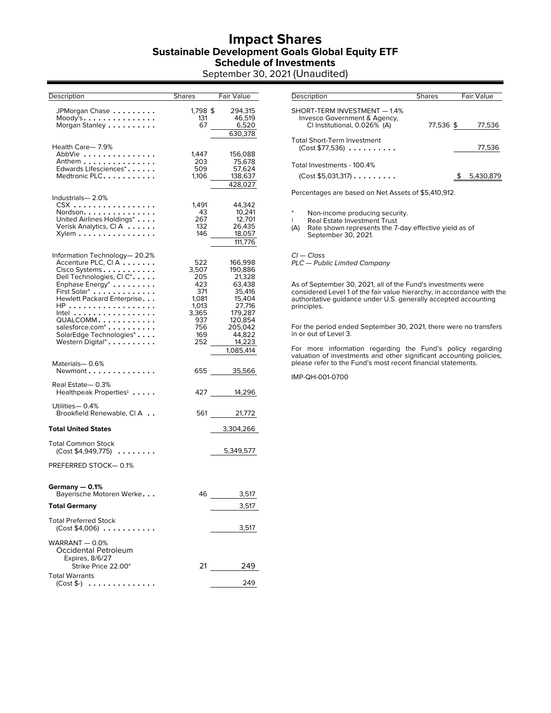#### **Impact Shares Sustainable Development Goals Global Equity ETF Schedule of Investments**

September 30, 2021 (Unaudited)

| Description                                                                                                                                                                                                                                                                                                                        | Shares                                                                                   | Fair Value                                                                                                                             |
|------------------------------------------------------------------------------------------------------------------------------------------------------------------------------------------------------------------------------------------------------------------------------------------------------------------------------------|------------------------------------------------------------------------------------------|----------------------------------------------------------------------------------------------------------------------------------------|
| JPMorgan Chase<br>$Mody^Ts$<br>Morgan Stanley                                                                                                                                                                                                                                                                                      | 1,798\$<br>131<br>67                                                                     | 294.315<br>46,519<br>6,520<br>630,378                                                                                                  |
| Health Care-7.9%<br>AbbVie<br>Anthem<br>Edwards Lifesciences*.<br>Medtronic PLC                                                                                                                                                                                                                                                    | 1,447<br>203<br>509<br>1,106                                                             | 156,088<br>75,678<br>57,624<br>138,637<br>428,027                                                                                      |
| Industrials-2.0%<br>$\text{CSX}$<br>Nordson.<br>United Airlines Holdings*<br>Verisk Analytics, CIA<br>Xylem                                                                                                                                                                                                                        | 1,491<br>43<br>267<br>132<br>146                                                         | 44,342<br>10,241<br>12,701<br>26,435<br>18,057<br>111,776                                                                              |
| Information Technology-20.2%<br>Accenture PLC, CI A<br>Cisco Systems<br>Dell Technologies, Cl C*.<br>Enphase Energy <sup>*</sup><br>First Solar <sup>*</sup><br>Hewlett Packard Enterprise.<br>HP<br>Intel $\ldots \ldots \ldots \ldots$<br>QUALCOMM<br>salesforce.com <sup>*</sup><br>SolarEdge Technologies*<br>Western Digital* | 522<br>3,507<br>205<br>423<br>371<br>1,081<br>1,013<br>3,365<br>937<br>756<br>169<br>252 | 166,998<br>190,886<br>21,328<br>63,438<br>35,416<br>15,404<br>27,716<br>179,287<br>120.854<br>205,042<br>44,822<br>14,223<br>1,085,414 |
| Materials-0.6%<br>Newmont                                                                                                                                                                                                                                                                                                          |                                                                                          | 655 35,566                                                                                                                             |
| Real Estate-0.3%<br>Healthpeak Properties <sup>‡</sup>                                                                                                                                                                                                                                                                             |                                                                                          | 427 — 10<br>14,296                                                                                                                     |
| Utilities-0.4%<br>Brookfield Renewable, CI A                                                                                                                                                                                                                                                                                       |                                                                                          | 561 11<br>21,772                                                                                                                       |
| <b>Total United States</b>                                                                                                                                                                                                                                                                                                         |                                                                                          | 3,304,266                                                                                                                              |
| <b>Total Common Stock</b><br>$(Cost $4,949,775) \ldots \ldots$                                                                                                                                                                                                                                                                     |                                                                                          | 5,349,577                                                                                                                              |
| PREFERRED STOCK-0.1%                                                                                                                                                                                                                                                                                                               |                                                                                          |                                                                                                                                        |
| Germany - 0.1%<br>Bayerische Motoren Werke                                                                                                                                                                                                                                                                                         | 46                                                                                       | 3,517                                                                                                                                  |
| <b>Total Germany</b>                                                                                                                                                                                                                                                                                                               |                                                                                          | 3,517                                                                                                                                  |
| <b>Total Preferred Stock</b><br>(Cost \$4,006)                                                                                                                                                                                                                                                                                     |                                                                                          | 3,517                                                                                                                                  |
| WARRANT $-0.0%$<br>Occidental Petroleum<br>Expires, 8/6/27                                                                                                                                                                                                                                                                         |                                                                                          |                                                                                                                                        |
| Strike Price 22.00*<br><b>Total Warrants</b>                                                                                                                                                                                                                                                                                       |                                                                                          | 21<br>249                                                                                                                              |
| $(Cost $-)$                                                                                                                                                                                                                                                                                                                        |                                                                                          | 249                                                                                                                                    |

| Description                                                                                  | <b>Shares</b> | <b>Fair Value</b> |
|----------------------------------------------------------------------------------------------|---------------|-------------------|
| SHORT-TERM INVESTMENT - 1.4%<br>Invesco Government & Agency,<br>CI Institutional, 0.026% (A) | 77,536 \$     | 77,536            |
| Total Short-Term Investment<br>(Cost \$77,536)                                               |               | 77,536            |
| Total Investments - 100.4%<br>(Cost \$5,031,317)                                             |               | 5,430,879         |

Percentages are based on Net Assets of \$5,410,912.

\* Non-income producing security.

‡ Real Estate Investment Trust

(A) Rate shown represents the 7-day effective yield as of September 30, 2021.

Cl — Class PLC — Public Limited Company

As of September 30, 2021, all of the Fund's investments were considered Level 1 of the fair value hierarchy, in accordance with the authoritative guidance under U.S. generally accepted accounting principles.

For the period ended September 30, 2021, there were no transfers in or out of Level 3.

For more information regarding the Fund's policy regarding valuation of investments and other significant accounting policies, please refer to the Fund's most recent financial statements.